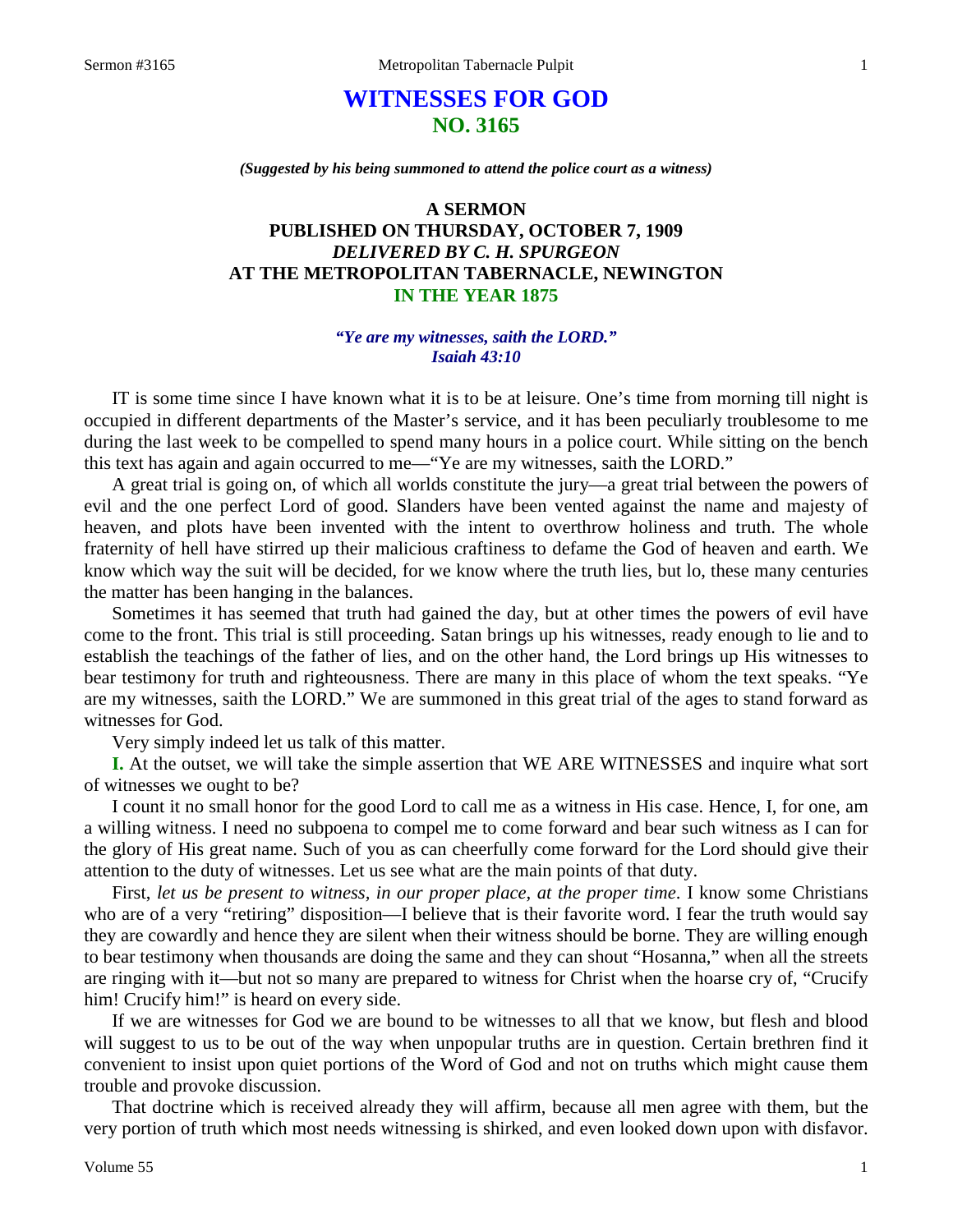# **WITNESSES FOR GOD NO. 3165**

*(Suggested by his being summoned to attend the police court as a witness)*

## **A SERMON PUBLISHED ON THURSDAY, OCTOBER 7, 1909** *DELIVERED BY C. H. SPURGEON* **AT THE METROPOLITAN TABERNACLE, NEWINGTON IN THE YEAR 1875**

#### *"Ye are my witnesses, saith the LORD." Isaiah 43:10*

IT is some time since I have known what it is to be at leisure. One's time from morning till night is occupied in different departments of the Master's service, and it has been peculiarly troublesome to me during the last week to be compelled to spend many hours in a police court. While sitting on the bench this text has again and again occurred to me—"Ye are my witnesses, saith the LORD."

A great trial is going on, of which all worlds constitute the jury—a great trial between the powers of evil and the one perfect Lord of good. Slanders have been vented against the name and majesty of heaven, and plots have been invented with the intent to overthrow holiness and truth. The whole fraternity of hell have stirred up their malicious craftiness to defame the God of heaven and earth. We know which way the suit will be decided, for we know where the truth lies, but lo, these many centuries the matter has been hanging in the balances.

Sometimes it has seemed that truth had gained the day, but at other times the powers of evil have come to the front. This trial is still proceeding. Satan brings up his witnesses, ready enough to lie and to establish the teachings of the father of lies, and on the other hand, the Lord brings up His witnesses to bear testimony for truth and righteousness. There are many in this place of whom the text speaks. "Ye are my witnesses, saith the LORD." We are summoned in this great trial of the ages to stand forward as witnesses for God.

Very simply indeed let us talk of this matter.

**I.** At the outset, we will take the simple assertion that WE ARE WITNESSES and inquire what sort of witnesses we ought to be?

I count it no small honor for the good Lord to call me as a witness in His case. Hence, I, for one, am a willing witness. I need no subpoena to compel me to come forward and bear such witness as I can for the glory of His great name. Such of you as can cheerfully come forward for the Lord should give their attention to the duty of witnesses. Let us see what are the main points of that duty.

First, *let us be present to witness, in our proper place, at the proper time*. I know some Christians who are of a very "retiring" disposition—I believe that is their favorite word. I fear the truth would say they are cowardly and hence they are silent when their witness should be borne. They are willing enough to bear testimony when thousands are doing the same and they can shout "Hosanna," when all the streets are ringing with it—but not so many are prepared to witness for Christ when the hoarse cry of, "Crucify him! Crucify him!" is heard on every side.

If we are witnesses for God we are bound to be witnesses to all that we know, but flesh and blood will suggest to us to be out of the way when unpopular truths are in question. Certain brethren find it convenient to insist upon quiet portions of the Word of God and not on truths which might cause them trouble and provoke discussion.

That doctrine which is received already they will affirm, because all men agree with them, but the very portion of truth which most needs witnessing is shirked, and even looked down upon with disfavor.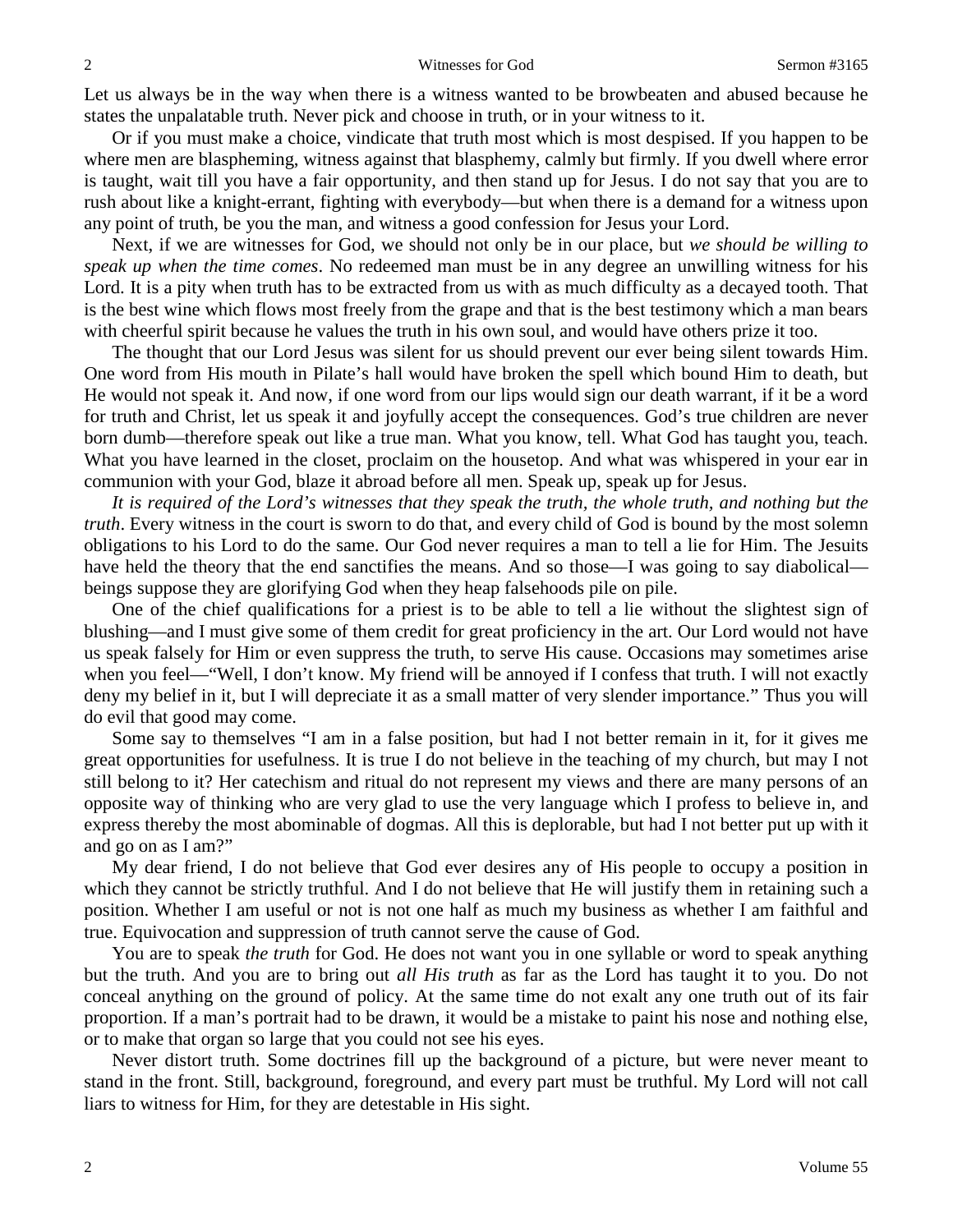Let us always be in the way when there is a witness wanted to be browbeaten and abused because he states the unpalatable truth. Never pick and choose in truth, or in your witness to it.

Or if you must make a choice, vindicate that truth most which is most despised. If you happen to be where men are blaspheming, witness against that blasphemy, calmly but firmly. If you dwell where error is taught, wait till you have a fair opportunity, and then stand up for Jesus. I do not say that you are to rush about like a knight-errant, fighting with everybody—but when there is a demand for a witness upon any point of truth, be you the man, and witness a good confession for Jesus your Lord.

Next, if we are witnesses for God, we should not only be in our place, but *we should be willing to speak up when the time comes*. No redeemed man must be in any degree an unwilling witness for his Lord. It is a pity when truth has to be extracted from us with as much difficulty as a decayed tooth. That is the best wine which flows most freely from the grape and that is the best testimony which a man bears with cheerful spirit because he values the truth in his own soul, and would have others prize it too.

The thought that our Lord Jesus was silent for us should prevent our ever being silent towards Him. One word from His mouth in Pilate's hall would have broken the spell which bound Him to death, but He would not speak it. And now, if one word from our lips would sign our death warrant, if it be a word for truth and Christ, let us speak it and joyfully accept the consequences. God's true children are never born dumb—therefore speak out like a true man. What you know, tell. What God has taught you, teach. What you have learned in the closet, proclaim on the housetop. And what was whispered in your ear in communion with your God, blaze it abroad before all men. Speak up, speak up for Jesus.

*It is required of the Lord's witnesses that they speak the truth, the whole truth, and nothing but the truth*. Every witness in the court is sworn to do that, and every child of God is bound by the most solemn obligations to his Lord to do the same. Our God never requires a man to tell a lie for Him. The Jesuits have held the theory that the end sanctifies the means. And so those—I was going to say diabolical beings suppose they are glorifying God when they heap falsehoods pile on pile.

One of the chief qualifications for a priest is to be able to tell a lie without the slightest sign of blushing—and I must give some of them credit for great proficiency in the art. Our Lord would not have us speak falsely for Him or even suppress the truth, to serve His cause. Occasions may sometimes arise when you feel—"Well, I don't know. My friend will be annoyed if I confess that truth. I will not exactly deny my belief in it, but I will depreciate it as a small matter of very slender importance." Thus you will do evil that good may come.

Some say to themselves "I am in a false position, but had I not better remain in it, for it gives me great opportunities for usefulness. It is true I do not believe in the teaching of my church, but may I not still belong to it? Her catechism and ritual do not represent my views and there are many persons of an opposite way of thinking who are very glad to use the very language which I profess to believe in, and express thereby the most abominable of dogmas. All this is deplorable, but had I not better put up with it and go on as I am?"

My dear friend, I do not believe that God ever desires any of His people to occupy a position in which they cannot be strictly truthful. And I do not believe that He will justify them in retaining such a position. Whether I am useful or not is not one half as much my business as whether I am faithful and true. Equivocation and suppression of truth cannot serve the cause of God.

You are to speak *the truth* for God. He does not want you in one syllable or word to speak anything but the truth. And you are to bring out *all His truth* as far as the Lord has taught it to you. Do not conceal anything on the ground of policy. At the same time do not exalt any one truth out of its fair proportion. If a man's portrait had to be drawn, it would be a mistake to paint his nose and nothing else, or to make that organ so large that you could not see his eyes.

Never distort truth. Some doctrines fill up the background of a picture, but were never meant to stand in the front. Still, background, foreground, and every part must be truthful. My Lord will not call liars to witness for Him, for they are detestable in His sight.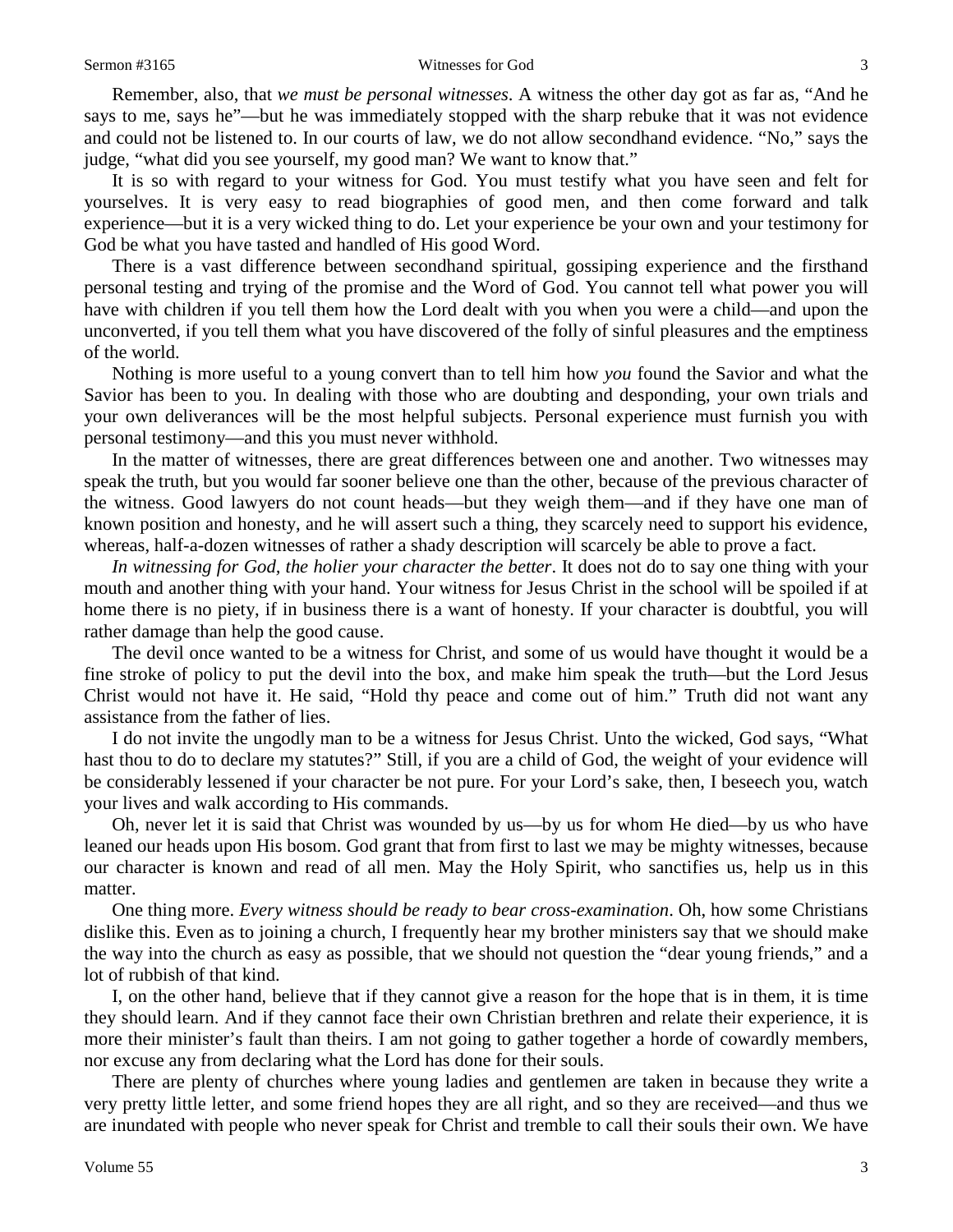#### Sermon #3165 Witnesses for God 3

Remember, also, that *we must be personal witnesses*. A witness the other day got as far as, "And he says to me, says he"—but he was immediately stopped with the sharp rebuke that it was not evidence and could not be listened to. In our courts of law, we do not allow secondhand evidence. "No," says the judge, "what did you see yourself, my good man? We want to know that."

It is so with regard to your witness for God. You must testify what you have seen and felt for yourselves. It is very easy to read biographies of good men, and then come forward and talk experience—but it is a very wicked thing to do. Let your experience be your own and your testimony for God be what you have tasted and handled of His good Word.

There is a vast difference between secondhand spiritual, gossiping experience and the firsthand personal testing and trying of the promise and the Word of God. You cannot tell what power you will have with children if you tell them how the Lord dealt with you when you were a child—and upon the unconverted, if you tell them what you have discovered of the folly of sinful pleasures and the emptiness of the world.

Nothing is more useful to a young convert than to tell him how *you* found the Savior and what the Savior has been to you. In dealing with those who are doubting and desponding, your own trials and your own deliverances will be the most helpful subjects. Personal experience must furnish you with personal testimony—and this you must never withhold.

In the matter of witnesses, there are great differences between one and another. Two witnesses may speak the truth, but you would far sooner believe one than the other, because of the previous character of the witness. Good lawyers do not count heads—but they weigh them—and if they have one man of known position and honesty, and he will assert such a thing, they scarcely need to support his evidence, whereas, half-a-dozen witnesses of rather a shady description will scarcely be able to prove a fact.

*In witnessing for God, the holier your character the better*. It does not do to say one thing with your mouth and another thing with your hand. Your witness for Jesus Christ in the school will be spoiled if at home there is no piety, if in business there is a want of honesty. If your character is doubtful, you will rather damage than help the good cause.

The devil once wanted to be a witness for Christ, and some of us would have thought it would be a fine stroke of policy to put the devil into the box, and make him speak the truth—but the Lord Jesus Christ would not have it. He said, "Hold thy peace and come out of him." Truth did not want any assistance from the father of lies.

I do not invite the ungodly man to be a witness for Jesus Christ. Unto the wicked, God says, "What hast thou to do to declare my statutes?" Still, if you are a child of God, the weight of your evidence will be considerably lessened if your character be not pure. For your Lord's sake, then, I beseech you, watch your lives and walk according to His commands.

Oh, never let it is said that Christ was wounded by us—by us for whom He died—by us who have leaned our heads upon His bosom. God grant that from first to last we may be mighty witnesses, because our character is known and read of all men. May the Holy Spirit, who sanctifies us, help us in this matter.

One thing more. *Every witness should be ready to bear cross-examination*. Oh, how some Christians dislike this. Even as to joining a church, I frequently hear my brother ministers say that we should make the way into the church as easy as possible, that we should not question the "dear young friends," and a lot of rubbish of that kind.

I, on the other hand, believe that if they cannot give a reason for the hope that is in them, it is time they should learn. And if they cannot face their own Christian brethren and relate their experience, it is more their minister's fault than theirs. I am not going to gather together a horde of cowardly members, nor excuse any from declaring what the Lord has done for their souls.

There are plenty of churches where young ladies and gentlemen are taken in because they write a very pretty little letter, and some friend hopes they are all right, and so they are received—and thus we are inundated with people who never speak for Christ and tremble to call their souls their own. We have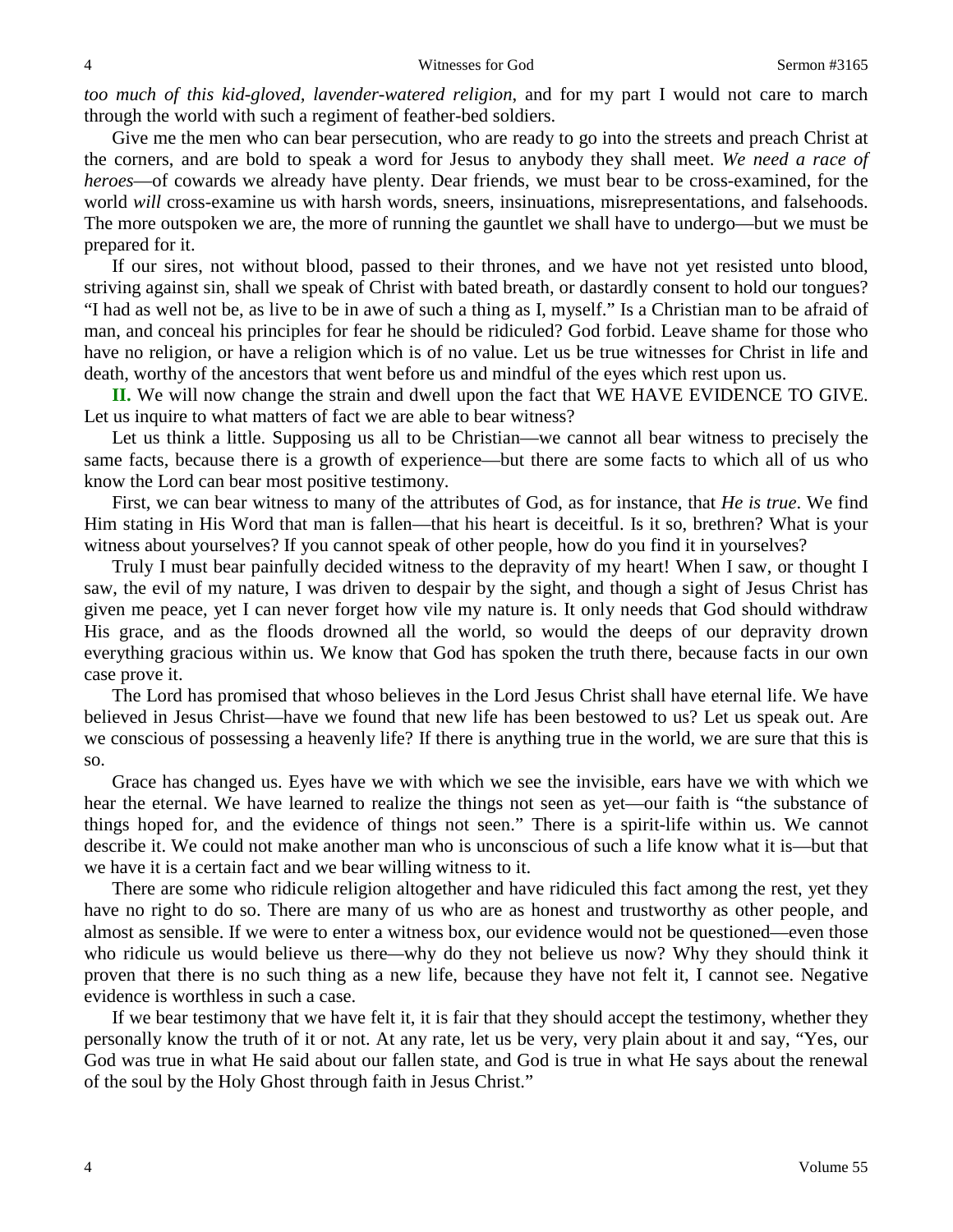*too much of this kid-gloved, lavender-watered religion*, and for my part I would not care to march through the world with such a regiment of feather-bed soldiers.

Give me the men who can bear persecution, who are ready to go into the streets and preach Christ at the corners, and are bold to speak a word for Jesus to anybody they shall meet. *We need a race of heroes*—of cowards we already have plenty. Dear friends, we must bear to be cross-examined, for the world *will* cross-examine us with harsh words, sneers, insinuations, misrepresentations, and falsehoods. The more outspoken we are, the more of running the gauntlet we shall have to undergo—but we must be prepared for it.

If our sires, not without blood, passed to their thrones, and we have not yet resisted unto blood, striving against sin, shall we speak of Christ with bated breath, or dastardly consent to hold our tongues? "I had as well not be, as live to be in awe of such a thing as I, myself." Is a Christian man to be afraid of man, and conceal his principles for fear he should be ridiculed? God forbid. Leave shame for those who have no religion, or have a religion which is of no value. Let us be true witnesses for Christ in life and death, worthy of the ancestors that went before us and mindful of the eyes which rest upon us.

**II.** We will now change the strain and dwell upon the fact that WE HAVE EVIDENCE TO GIVE. Let us inquire to what matters of fact we are able to bear witness?

Let us think a little. Supposing us all to be Christian—we cannot all bear witness to precisely the same facts, because there is a growth of experience—but there are some facts to which all of us who know the Lord can bear most positive testimony.

First, we can bear witness to many of the attributes of God, as for instance, that *He is true*. We find Him stating in His Word that man is fallen—that his heart is deceitful. Is it so, brethren? What is your witness about yourselves? If you cannot speak of other people, how do you find it in yourselves?

Truly I must bear painfully decided witness to the depravity of my heart! When I saw, or thought I saw, the evil of my nature, I was driven to despair by the sight, and though a sight of Jesus Christ has given me peace, yet I can never forget how vile my nature is. It only needs that God should withdraw His grace, and as the floods drowned all the world, so would the deeps of our depravity drown everything gracious within us. We know that God has spoken the truth there, because facts in our own case prove it.

The Lord has promised that whoso believes in the Lord Jesus Christ shall have eternal life. We have believed in Jesus Christ—have we found that new life has been bestowed to us? Let us speak out. Are we conscious of possessing a heavenly life? If there is anything true in the world, we are sure that this is so.

Grace has changed us. Eyes have we with which we see the invisible, ears have we with which we hear the eternal. We have learned to realize the things not seen as yet—our faith is "the substance of things hoped for, and the evidence of things not seen." There is a spirit-life within us. We cannot describe it. We could not make another man who is unconscious of such a life know what it is—but that we have it is a certain fact and we bear willing witness to it.

There are some who ridicule religion altogether and have ridiculed this fact among the rest, yet they have no right to do so. There are many of us who are as honest and trustworthy as other people, and almost as sensible. If we were to enter a witness box, our evidence would not be questioned—even those who ridicule us would believe us there*—*why do they not believe us now? Why they should think it proven that there is no such thing as a new life, because they have not felt it, I cannot see. Negative evidence is worthless in such a case.

If we bear testimony that we have felt it, it is fair that they should accept the testimony, whether they personally know the truth of it or not. At any rate, let us be very, very plain about it and say, "Yes, our God was true in what He said about our fallen state, and God is true in what He says about the renewal of the soul by the Holy Ghost through faith in Jesus Christ."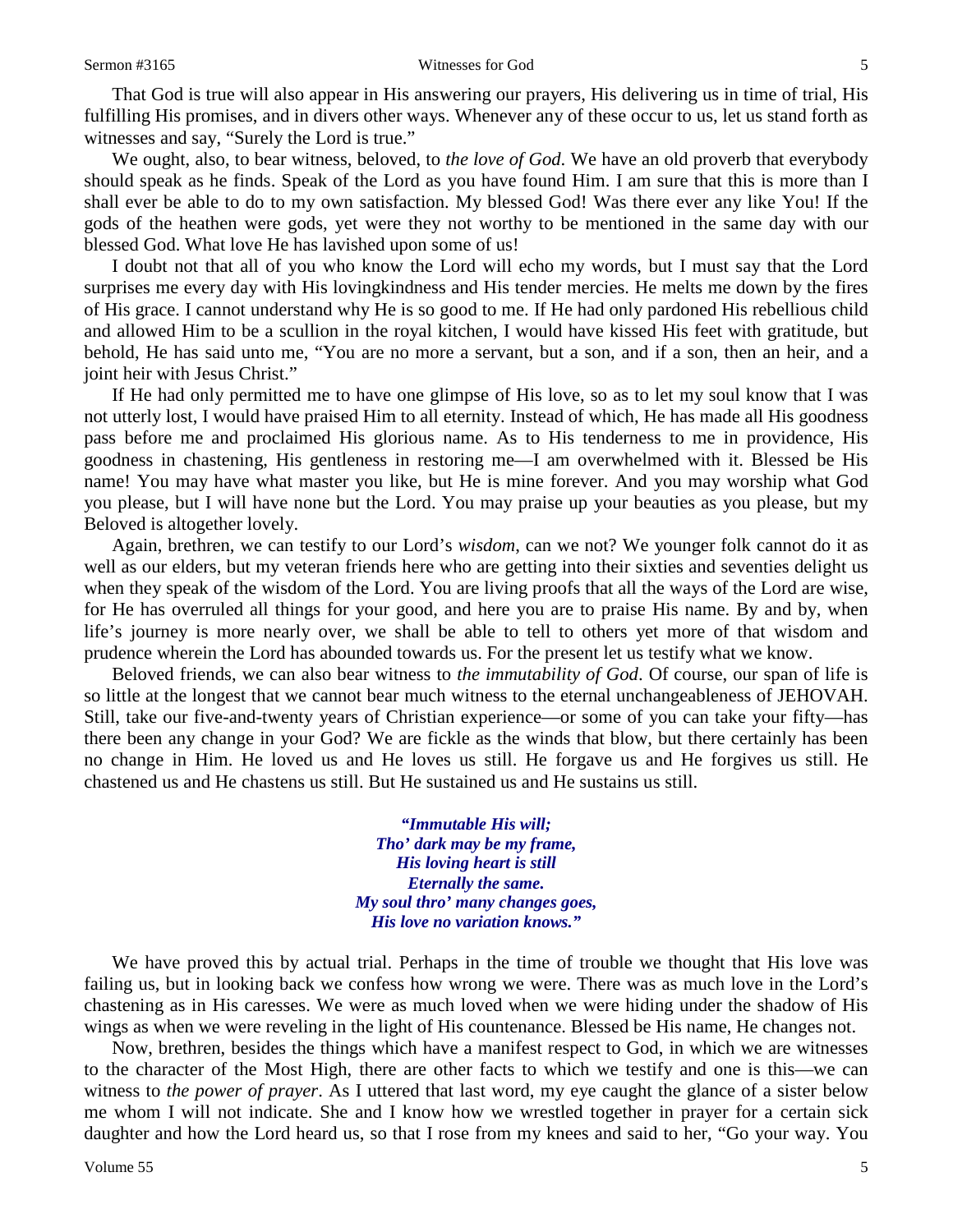That God is true will also appear in His answering our prayers, His delivering us in time of trial, His fulfilling His promises, and in divers other ways. Whenever any of these occur to us, let us stand forth as witnesses and say, "Surely the Lord is true."

We ought, also, to bear witness, beloved, to *the love of God*. We have an old proverb that everybody should speak as he finds. Speak of the Lord as you have found Him. I am sure that this is more than I shall ever be able to do to my own satisfaction. My blessed God! Was there ever any like You! If the gods of the heathen were gods, yet were they not worthy to be mentioned in the same day with our blessed God. What love He has lavished upon some of us!

I doubt not that all of you who know the Lord will echo my words, but I must say that the Lord surprises me every day with His lovingkindness and His tender mercies. He melts me down by the fires of His grace. I cannot understand why He is so good to me. If He had only pardoned His rebellious child and allowed Him to be a scullion in the royal kitchen, I would have kissed His feet with gratitude, but behold, He has said unto me, "You are no more a servant, but a son, and if a son, then an heir, and a joint heir with Jesus Christ."

If He had only permitted me to have one glimpse of His love, so as to let my soul know that I was not utterly lost, I would have praised Him to all eternity. Instead of which, He has made all His goodness pass before me and proclaimed His glorious name. As to His tenderness to me in providence, His goodness in chastening, His gentleness in restoring me—I am overwhelmed with it. Blessed be His name! You may have what master you like, but He is mine forever. And you may worship what God you please, but I will have none but the Lord. You may praise up your beauties as you please, but my Beloved is altogether lovely.

Again, brethren, we can testify to our Lord's *wisdom*, can we not? We younger folk cannot do it as well as our elders, but my veteran friends here who are getting into their sixties and seventies delight us when they speak of the wisdom of the Lord. You are living proofs that all the ways of the Lord are wise, for He has overruled all things for your good, and here you are to praise His name. By and by, when life's journey is more nearly over, we shall be able to tell to others yet more of that wisdom and prudence wherein the Lord has abounded towards us. For the present let us testify what we know.

Beloved friends, we can also bear witness to *the immutability of God*. Of course, our span of life is so little at the longest that we cannot bear much witness to the eternal unchangeableness of JEHOVAH. Still, take our five-and-twenty years of Christian experience—or some of you can take your fifty—has there been any change in your God? We are fickle as the winds that blow, but there certainly has been no change in Him. He loved us and He loves us still. He forgave us and He forgives us still. He chastened us and He chastens us still. But He sustained us and He sustains us still.

> *"Immutable His will; Tho' dark may be my frame, His loving heart is still Eternally the same. My soul thro' many changes goes, His love no variation knows."*

We have proved this by actual trial. Perhaps in the time of trouble we thought that His love was failing us, but in looking back we confess how wrong we were. There was as much love in the Lord's chastening as in His caresses. We were as much loved when we were hiding under the shadow of His wings as when we were reveling in the light of His countenance. Blessed be His name, He changes not.

Now, brethren, besides the things which have a manifest respect to God, in which we are witnesses to the character of the Most High, there are other facts to which we testify and one is this—we can witness to *the power of prayer*. As I uttered that last word, my eye caught the glance of a sister below me whom I will not indicate. She and I know how we wrestled together in prayer for a certain sick daughter and how the Lord heard us, so that I rose from my knees and said to her, "Go your way. You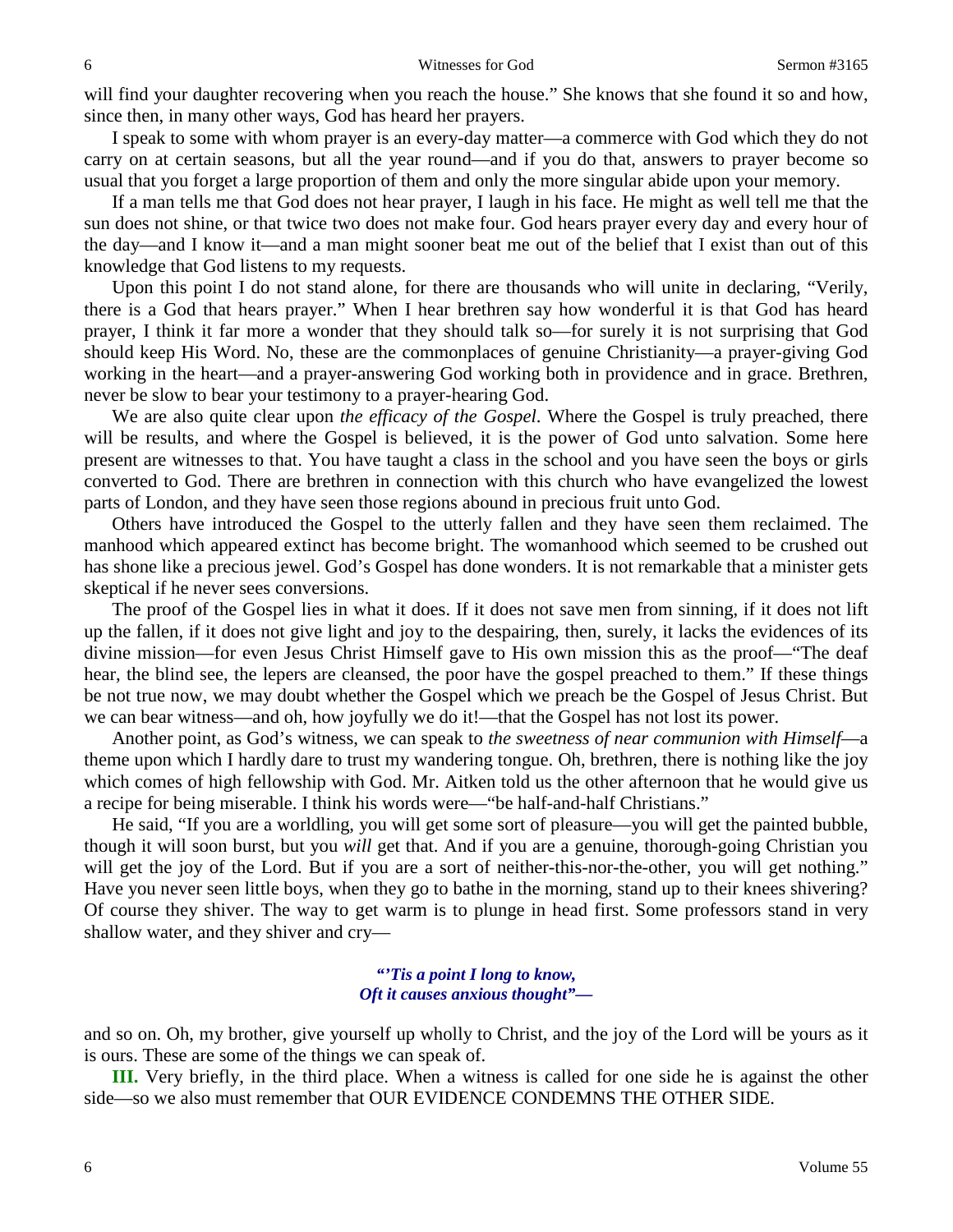will find your daughter recovering when you reach the house." She knows that she found it so and how, since then, in many other ways, God has heard her prayers.

I speak to some with whom prayer is an every-day matter—a commerce with God which they do not carry on at certain seasons, but all the year round—and if you do that, answers to prayer become so usual that you forget a large proportion of them and only the more singular abide upon your memory.

If a man tells me that God does not hear prayer, I laugh in his face. He might as well tell me that the sun does not shine, or that twice two does not make four. God hears prayer every day and every hour of the day—and I know it—and a man might sooner beat me out of the belief that I exist than out of this knowledge that God listens to my requests.

Upon this point I do not stand alone, for there are thousands who will unite in declaring, "Verily, there is a God that hears prayer." When I hear brethren say how wonderful it is that God has heard prayer, I think it far more a wonder that they should talk so—for surely it is not surprising that God should keep His Word. No, these are the commonplaces of genuine Christianity—a prayer-giving God working in the heart—and a prayer-answering God working both in providence and in grace. Brethren, never be slow to bear your testimony to a prayer-hearing God.

We are also quite clear upon *the efficacy of the Gospel*. Where the Gospel is truly preached, there will be results, and where the Gospel is believed, it is the power of God unto salvation. Some here present are witnesses to that. You have taught a class in the school and you have seen the boys or girls converted to God. There are brethren in connection with this church who have evangelized the lowest parts of London, and they have seen those regions abound in precious fruit unto God.

Others have introduced the Gospel to the utterly fallen and they have seen them reclaimed. The manhood which appeared extinct has become bright. The womanhood which seemed to be crushed out has shone like a precious jewel. God's Gospel has done wonders. It is not remarkable that a minister gets skeptical if he never sees conversions.

The proof of the Gospel lies in what it does. If it does not save men from sinning, if it does not lift up the fallen, if it does not give light and joy to the despairing, then, surely, it lacks the evidences of its divine mission—for even Jesus Christ Himself gave to His own mission this as the proof—"The deaf hear, the blind see, the lepers are cleansed, the poor have the gospel preached to them." If these things be not true now, we may doubt whether the Gospel which we preach be the Gospel of Jesus Christ. But we can bear witness—and oh, how joyfully we do it!—that the Gospel has not lost its power.

Another point, as God's witness, we can speak to *the sweetness of near communion with Himself*—a theme upon which I hardly dare to trust my wandering tongue. Oh, brethren, there is nothing like the joy which comes of high fellowship with God. Mr. Aitken told us the other afternoon that he would give us a recipe for being miserable. I think his words were—"be half-and-half Christians."

He said, "If you are a worldling, you will get some sort of pleasure—you will get the painted bubble, though it will soon burst, but you *will* get that. And if you are a genuine, thorough-going Christian you will get the joy of the Lord. But if you are a sort of neither-this-nor-the-other, you will get nothing." Have you never seen little boys, when they go to bathe in the morning, stand up to their knees shivering? Of course they shiver. The way to get warm is to plunge in head first. Some professors stand in very shallow water, and they shiver and cry—

### *"'Tis a point I long to know, Oft it causes anxious thought"—*

and so on. Oh, my brother, give yourself up wholly to Christ, and the joy of the Lord will be yours as it is ours. These are some of the things we can speak of.

**III.** Very briefly, in the third place. When a witness is called for one side he is against the other side—so we also must remember that OUR EVIDENCE CONDEMNS THE OTHER SIDE.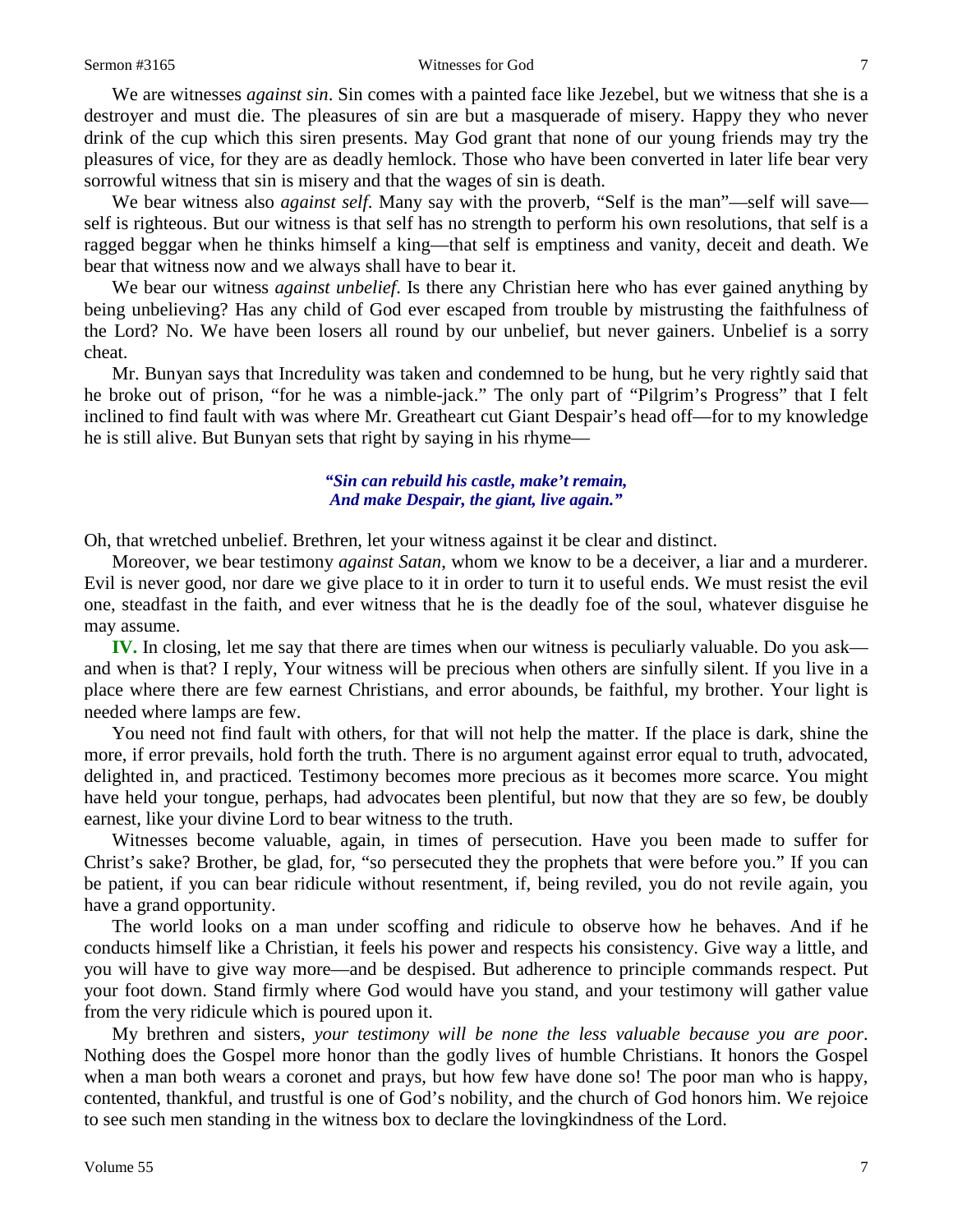#### Sermon #3165 Witnesses for God 7

We are witnesses *against sin*. Sin comes with a painted face like Jezebel, but we witness that she is a destroyer and must die. The pleasures of sin are but a masquerade of misery. Happy they who never drink of the cup which this siren presents. May God grant that none of our young friends may try the pleasures of vice, for they are as deadly hemlock. Those who have been converted in later life bear very sorrowful witness that sin is misery and that the wages of sin is death.

We bear witness also *against self*. Many say with the proverb, "Self is the man"—self will save self is righteous. But our witness is that self has no strength to perform his own resolutions, that self is a ragged beggar when he thinks himself a king—that self is emptiness and vanity, deceit and death. We bear that witness now and we always shall have to bear it.

We bear our witness *against unbelief*. Is there any Christian here who has ever gained anything by being unbelieving? Has any child of God ever escaped from trouble by mistrusting the faithfulness of the Lord? No. We have been losers all round by our unbelief, but never gainers. Unbelief is a sorry cheat.

Mr. Bunyan says that Incredulity was taken and condemned to be hung, but he very rightly said that he broke out of prison, "for he was a nimble-jack." The only part of "Pilgrim's Progress" that I felt inclined to find fault with was where Mr. Greatheart cut Giant Despair's head off—for to my knowledge he is still alive. But Bunyan sets that right by saying in his rhyme—

### *"Sin can rebuild his castle, make't remain, And make Despair, the giant, live again."*

Oh, that wretched unbelief. Brethren, let your witness against it be clear and distinct.

Moreover, we bear testimony *against Satan*, whom we know to be a deceiver, a liar and a murderer. Evil is never good, nor dare we give place to it in order to turn it to useful ends. We must resist the evil one, steadfast in the faith, and ever witness that he is the deadly foe of the soul, whatever disguise he may assume.

**IV.** In closing, let me say that there are times when our witness is peculiarly valuable. Do you ask and when is that? I reply, Your witness will be precious when others are sinfully silent. If you live in a place where there are few earnest Christians, and error abounds, be faithful, my brother. Your light is needed where lamps are few.

You need not find fault with others, for that will not help the matter. If the place is dark, shine the more, if error prevails, hold forth the truth. There is no argument against error equal to truth, advocated, delighted in, and practiced. Testimony becomes more precious as it becomes more scarce. You might have held your tongue, perhaps, had advocates been plentiful, but now that they are so few, be doubly earnest, like your divine Lord to bear witness to the truth.

Witnesses become valuable, again, in times of persecution. Have you been made to suffer for Christ's sake? Brother, be glad, for, "so persecuted they the prophets that were before you." If you can be patient, if you can bear ridicule without resentment, if, being reviled, you do not revile again, you have a grand opportunity.

The world looks on a man under scoffing and ridicule to observe how he behaves. And if he conducts himself like a Christian, it feels his power and respects his consistency. Give way a little, and you will have to give way more—and be despised. But adherence to principle commands respect. Put your foot down. Stand firmly where God would have you stand, and your testimony will gather value from the very ridicule which is poured upon it.

My brethren and sisters, *your testimony will be none the less valuable because you are poor*. Nothing does the Gospel more honor than the godly lives of humble Christians. It honors the Gospel when a man both wears a coronet and prays, but how few have done so! The poor man who is happy, contented, thankful, and trustful is one of God's nobility, and the church of God honors him. We rejoice to see such men standing in the witness box to declare the lovingkindness of the Lord.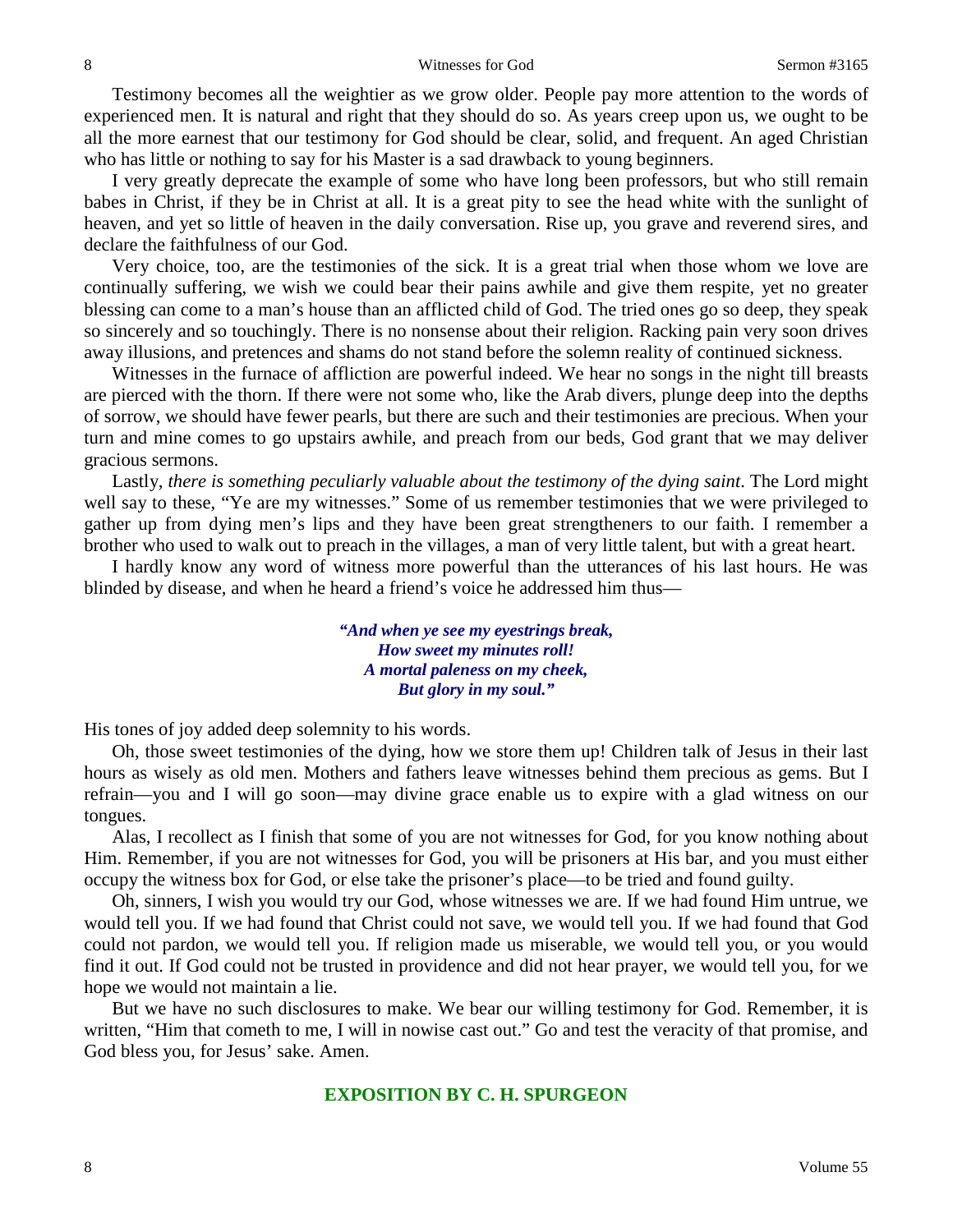Testimony becomes all the weightier as we grow older. People pay more attention to the words of experienced men. It is natural and right that they should do so. As years creep upon us, we ought to be all the more earnest that our testimony for God should be clear, solid, and frequent. An aged Christian who has little or nothing to say for his Master is a sad drawback to young beginners.

I very greatly deprecate the example of some who have long been professors, but who still remain babes in Christ, if they be in Christ at all. It is a great pity to see the head white with the sunlight of heaven, and yet so little of heaven in the daily conversation. Rise up, you grave and reverend sires, and declare the faithfulness of our God.

Very choice, too, are the testimonies of the sick. It is a great trial when those whom we love are continually suffering, we wish we could bear their pains awhile and give them respite, yet no greater blessing can come to a man's house than an afflicted child of God. The tried ones go so deep, they speak so sincerely and so touchingly. There is no nonsense about their religion. Racking pain very soon drives away illusions, and pretences and shams do not stand before the solemn reality of continued sickness.

Witnesses in the furnace of affliction are powerful indeed. We hear no songs in the night till breasts are pierced with the thorn. If there were not some who, like the Arab divers, plunge deep into the depths of sorrow, we should have fewer pearls, but there are such and their testimonies are precious. When your turn and mine comes to go upstairs awhile, and preach from our beds, God grant that we may deliver gracious sermons.

Lastly, *there is something peculiarly valuable about the testimony of the dying saint*. The Lord might well say to these, "Ye are my witnesses." Some of us remember testimonies that we were privileged to gather up from dying men's lips and they have been great strengtheners to our faith. I remember a brother who used to walk out to preach in the villages, a man of very little talent, but with a great heart.

I hardly know any word of witness more powerful than the utterances of his last hours. He was blinded by disease, and when he heard a friend's voice he addressed him thus—

> *"And when ye see my eyestrings break, How sweet my minutes roll! A mortal paleness on my cheek, But glory in my soul."*

His tones of joy added deep solemnity to his words.

Oh, those sweet testimonies of the dying, how we store them up! Children talk of Jesus in their last hours as wisely as old men. Mothers and fathers leave witnesses behind them precious as gems. But I refrain—you and I will go soon—may divine grace enable us to expire with a glad witness on our tongues.

Alas, I recollect as I finish that some of you are not witnesses for God, for you know nothing about Him. Remember, if you are not witnesses for God, you will be prisoners at His bar, and you must either occupy the witness box for God, or else take the prisoner's place—to be tried and found guilty.

Oh, sinners, I wish you would try our God, whose witnesses we are. If we had found Him untrue, we would tell you. If we had found that Christ could not save, we would tell you. If we had found that God could not pardon, we would tell you. If religion made us miserable, we would tell you, or you would find it out. If God could not be trusted in providence and did not hear prayer, we would tell you, for we hope we would not maintain a lie.

But we have no such disclosures to make. We bear our willing testimony for God. Remember, it is written, "Him that cometh to me, I will in nowise cast out." Go and test the veracity of that promise, and God bless you, for Jesus' sake. Amen.

### **EXPOSITION BY C. H. SPURGEON**